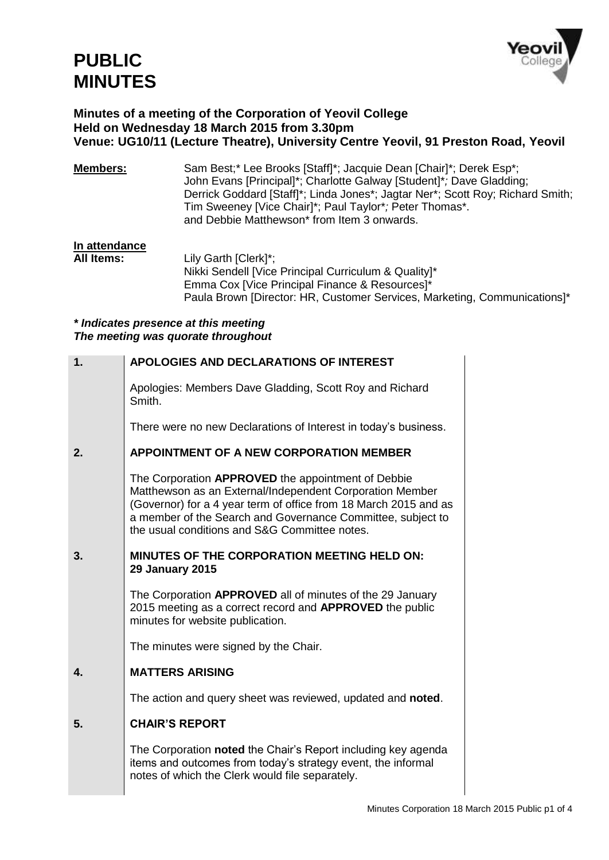

## **Minutes of a meeting of the Corporation of Yeovil College Held on Wednesday 18 March 2015 from 3.30pm Venue: UG10/11 (Lecture Theatre), University Centre Yeovil, 91 Preston Road, Yeovil**

| <b>Members:</b> | Sam Best;* Lee Brooks [Staff]*; Jacquie Dean [Chair]*; Derek Esp*;             |
|-----------------|--------------------------------------------------------------------------------|
|                 | John Evans [Principal]*; Charlotte Galway [Student]*; Dave Gladding;           |
|                 | Derrick Goddard [Staff]*; Linda Jones*; Jagtar Ner*; Scott Roy; Richard Smith; |
|                 | Tim Sweeney [Vice Chair]*; Paul Taylor*; Peter Thomas*.                        |
|                 | and Debbie Matthewson* from Item 3 onwards.                                    |

## **In attendance**

Lily Garth [Clerk]\*; Nikki Sendell [Vice Principal Curriculum & Quality]\* Emma Cox [Vice Principal Finance & Resources]\* Paula Brown [Director: HR, Customer Services, Marketing, Communications]\*

## *\* Indicates presence at this meeting The meeting was quorate throughout*

| 1. | <b>APOLOGIES AND DECLARATIONS OF INTEREST</b>                                                                                                                                                                                                                                                      |
|----|----------------------------------------------------------------------------------------------------------------------------------------------------------------------------------------------------------------------------------------------------------------------------------------------------|
|    | Apologies: Members Dave Gladding, Scott Roy and Richard<br>Smith.                                                                                                                                                                                                                                  |
|    | There were no new Declarations of Interest in today's business.                                                                                                                                                                                                                                    |
| 2. | <b>APPOINTMENT OF A NEW CORPORATION MEMBER</b>                                                                                                                                                                                                                                                     |
|    | The Corporation APPROVED the appointment of Debbie<br>Matthewson as an External/Independent Corporation Member<br>(Governor) for a 4 year term of office from 18 March 2015 and as<br>a member of the Search and Governance Committee, subject to<br>the usual conditions and S&G Committee notes. |
| 3. | <b>MINUTES OF THE CORPORATION MEETING HELD ON:</b><br><b>29 January 2015</b>                                                                                                                                                                                                                       |
|    | The Corporation APPROVED all of minutes of the 29 January<br>2015 meeting as a correct record and APPROVED the public<br>minutes for website publication.                                                                                                                                          |
|    | The minutes were signed by the Chair.                                                                                                                                                                                                                                                              |
| 4. | <b>MATTERS ARISING</b>                                                                                                                                                                                                                                                                             |
|    | The action and query sheet was reviewed, updated and noted.                                                                                                                                                                                                                                        |
| 5. | <b>CHAIR'S REPORT</b>                                                                                                                                                                                                                                                                              |
|    | The Corporation noted the Chair's Report including key agenda<br>items and outcomes from today's strategy event, the informal<br>notes of which the Clerk would file separately.                                                                                                                   |
|    |                                                                                                                                                                                                                                                                                                    |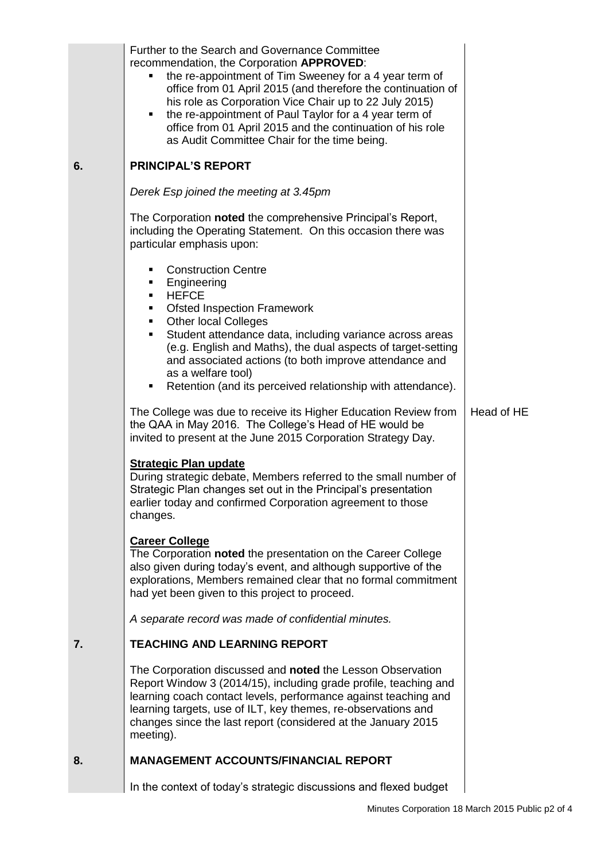|    | Further to the Search and Governance Committee<br>recommendation, the Corporation APPROVED:<br>the re-appointment of Tim Sweeney for a 4 year term of<br>office from 01 April 2015 (and therefore the continuation of<br>his role as Corporation Vice Chair up to 22 July 2015)<br>the re-appointment of Paul Taylor for a 4 year term of<br>٠<br>office from 01 April 2015 and the continuation of his role<br>as Audit Committee Chair for the time being. |            |
|----|--------------------------------------------------------------------------------------------------------------------------------------------------------------------------------------------------------------------------------------------------------------------------------------------------------------------------------------------------------------------------------------------------------------------------------------------------------------|------------|
| 6. | <b>PRINCIPAL'S REPORT</b>                                                                                                                                                                                                                                                                                                                                                                                                                                    |            |
|    | Derek Esp joined the meeting at 3.45pm                                                                                                                                                                                                                                                                                                                                                                                                                       |            |
|    | The Corporation noted the comprehensive Principal's Report,<br>including the Operating Statement. On this occasion there was<br>particular emphasis upon:                                                                                                                                                                                                                                                                                                    |            |
|    | <b>Construction Centre</b><br>٠<br>Engineering<br>٠<br><b>HEFCE</b><br>٠<br><b>Ofsted Inspection Framework</b><br>٠                                                                                                                                                                                                                                                                                                                                          |            |
|    | <b>Other local Colleges</b><br>٠<br>Student attendance data, including variance across areas<br>٠<br>(e.g. English and Maths), the dual aspects of target-setting<br>and associated actions (to both improve attendance and<br>as a welfare tool)                                                                                                                                                                                                            |            |
|    | Retention (and its perceived relationship with attendance).<br>٠                                                                                                                                                                                                                                                                                                                                                                                             |            |
|    | The College was due to receive its Higher Education Review from<br>the QAA in May 2016. The College's Head of HE would be<br>invited to present at the June 2015 Corporation Strategy Day.                                                                                                                                                                                                                                                                   | Head of HE |
|    | <b>Strategic Plan update</b><br>During strategic debate, Members referred to the small number of<br>Strategic Plan changes set out in the Principal's presentation<br>earlier today and confirmed Corporation agreement to those<br>changes.                                                                                                                                                                                                                 |            |
|    | <b>Career College</b><br>The Corporation noted the presentation on the Career College<br>also given during today's event, and although supportive of the<br>explorations, Members remained clear that no formal commitment<br>had yet been given to this project to proceed.                                                                                                                                                                                 |            |
|    | A separate record was made of confidential minutes.                                                                                                                                                                                                                                                                                                                                                                                                          |            |
| 7. | <b>TEACHING AND LEARNING REPORT</b>                                                                                                                                                                                                                                                                                                                                                                                                                          |            |
|    | The Corporation discussed and noted the Lesson Observation<br>Report Window 3 (2014/15), including grade profile, teaching and<br>learning coach contact levels, performance against teaching and<br>learning targets, use of ILT, key themes, re-observations and<br>changes since the last report (considered at the January 2015<br>meeting).                                                                                                             |            |
| 8. | <b>MANAGEMENT ACCOUNTS/FINANCIAL REPORT</b>                                                                                                                                                                                                                                                                                                                                                                                                                  |            |
|    | In the context of today's strategic discussions and flexed budget                                                                                                                                                                                                                                                                                                                                                                                            |            |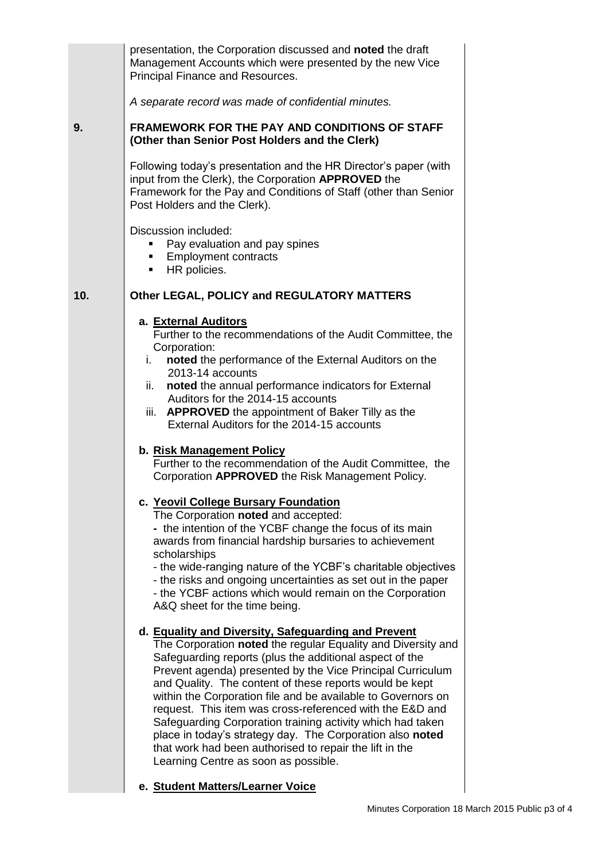|     | presentation, the Corporation discussed and noted the draft<br>Management Accounts which were presented by the new Vice<br>Principal Finance and Resources.                                                                                                                                                                                                                                                                                                                                                                                                                                                                                                       |  |
|-----|-------------------------------------------------------------------------------------------------------------------------------------------------------------------------------------------------------------------------------------------------------------------------------------------------------------------------------------------------------------------------------------------------------------------------------------------------------------------------------------------------------------------------------------------------------------------------------------------------------------------------------------------------------------------|--|
|     | A separate record was made of confidential minutes.                                                                                                                                                                                                                                                                                                                                                                                                                                                                                                                                                                                                               |  |
| 9.  | <b>FRAMEWORK FOR THE PAY AND CONDITIONS OF STAFF</b><br>(Other than Senior Post Holders and the Clerk)                                                                                                                                                                                                                                                                                                                                                                                                                                                                                                                                                            |  |
|     | Following today's presentation and the HR Director's paper (with<br>input from the Clerk), the Corporation APPROVED the<br>Framework for the Pay and Conditions of Staff (other than Senior<br>Post Holders and the Clerk).                                                                                                                                                                                                                                                                                                                                                                                                                                       |  |
|     | Discussion included:<br>Pay evaluation and pay spines<br><b>Employment contracts</b><br>HR policies.<br>٠                                                                                                                                                                                                                                                                                                                                                                                                                                                                                                                                                         |  |
| 10. | Other LEGAL, POLICY and REGULATORY MATTERS                                                                                                                                                                                                                                                                                                                                                                                                                                                                                                                                                                                                                        |  |
|     | a. External Auditors<br>Further to the recommendations of the Audit Committee, the<br>Corporation:                                                                                                                                                                                                                                                                                                                                                                                                                                                                                                                                                                |  |
|     | noted the performance of the External Auditors on the<br>i.<br>2013-14 accounts<br>noted the annual performance indicators for External<br>ii.                                                                                                                                                                                                                                                                                                                                                                                                                                                                                                                    |  |
|     | Auditors for the 2014-15 accounts<br>iii. <b>APPROVED</b> the appointment of Baker Tilly as the<br>External Auditors for the 2014-15 accounts                                                                                                                                                                                                                                                                                                                                                                                                                                                                                                                     |  |
|     | b. Risk Management Policy<br>Further to the recommendation of the Audit Committee, the<br>Corporation APPROVED the Risk Management Policy.                                                                                                                                                                                                                                                                                                                                                                                                                                                                                                                        |  |
|     | c. Yeovil College Bursary Foundation<br>The Corporation noted and accepted:<br>- the intention of the YCBF change the focus of its main<br>awards from financial hardship bursaries to achievement<br>scholarships<br>- the wide-ranging nature of the YCBF's charitable objectives<br>- the risks and ongoing uncertainties as set out in the paper<br>- the YCBF actions which would remain on the Corporation<br>A&Q sheet for the time being.                                                                                                                                                                                                                 |  |
|     | d. Equality and Diversity, Safeguarding and Prevent<br>The Corporation noted the regular Equality and Diversity and<br>Safeguarding reports (plus the additional aspect of the<br>Prevent agenda) presented by the Vice Principal Curriculum<br>and Quality. The content of these reports would be kept<br>within the Corporation file and be available to Governors on<br>request. This item was cross-referenced with the E&D and<br>Safeguarding Corporation training activity which had taken<br>place in today's strategy day. The Corporation also noted<br>that work had been authorised to repair the lift in the<br>Learning Centre as soon as possible. |  |
|     | e. Student Matters/Learner Voice                                                                                                                                                                                                                                                                                                                                                                                                                                                                                                                                                                                                                                  |  |